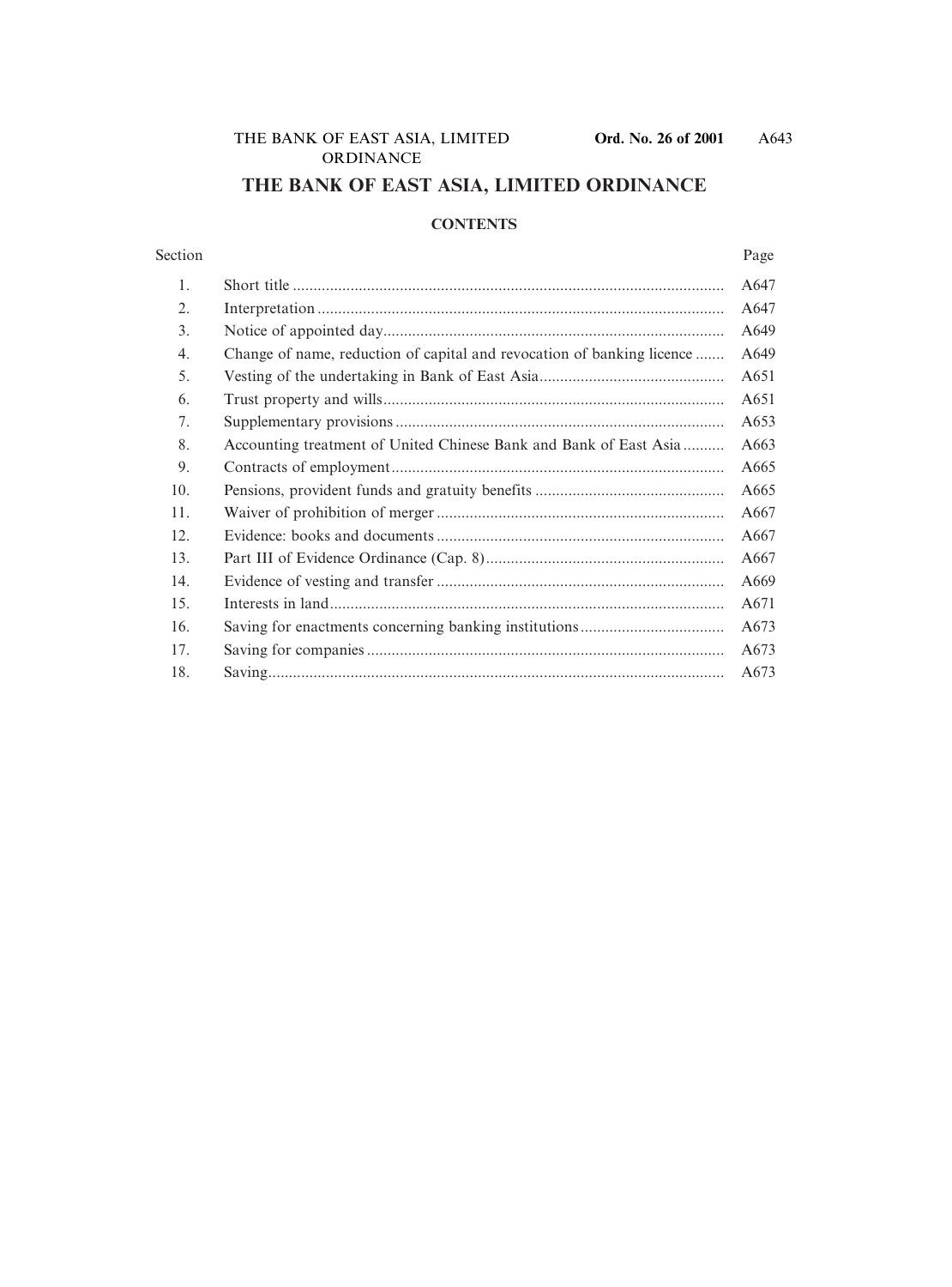# **THE BANK OF EAST ASIA, LIMITED ORDINANCE**

#### **CONTENTS**

#### Section Page

| 1.  |                                                                        | A647 |
|-----|------------------------------------------------------------------------|------|
| 2.  |                                                                        | A647 |
| 3.  |                                                                        | A649 |
| 4.  | Change of name, reduction of capital and revocation of banking licence | A649 |
| 5.  |                                                                        | A651 |
| 6.  |                                                                        | A651 |
| 7.  |                                                                        | A653 |
| 8.  | Accounting treatment of United Chinese Bank and Bank of East Asia      | A663 |
| 9.  |                                                                        | A665 |
| 10. |                                                                        | A665 |
| 11. |                                                                        | A667 |
| 12. |                                                                        | A667 |
| 13. |                                                                        | A667 |
| 14. |                                                                        | A669 |
| 15. |                                                                        | A671 |
| 16. |                                                                        | A673 |
| 17. |                                                                        | A673 |
| 18. |                                                                        | A673 |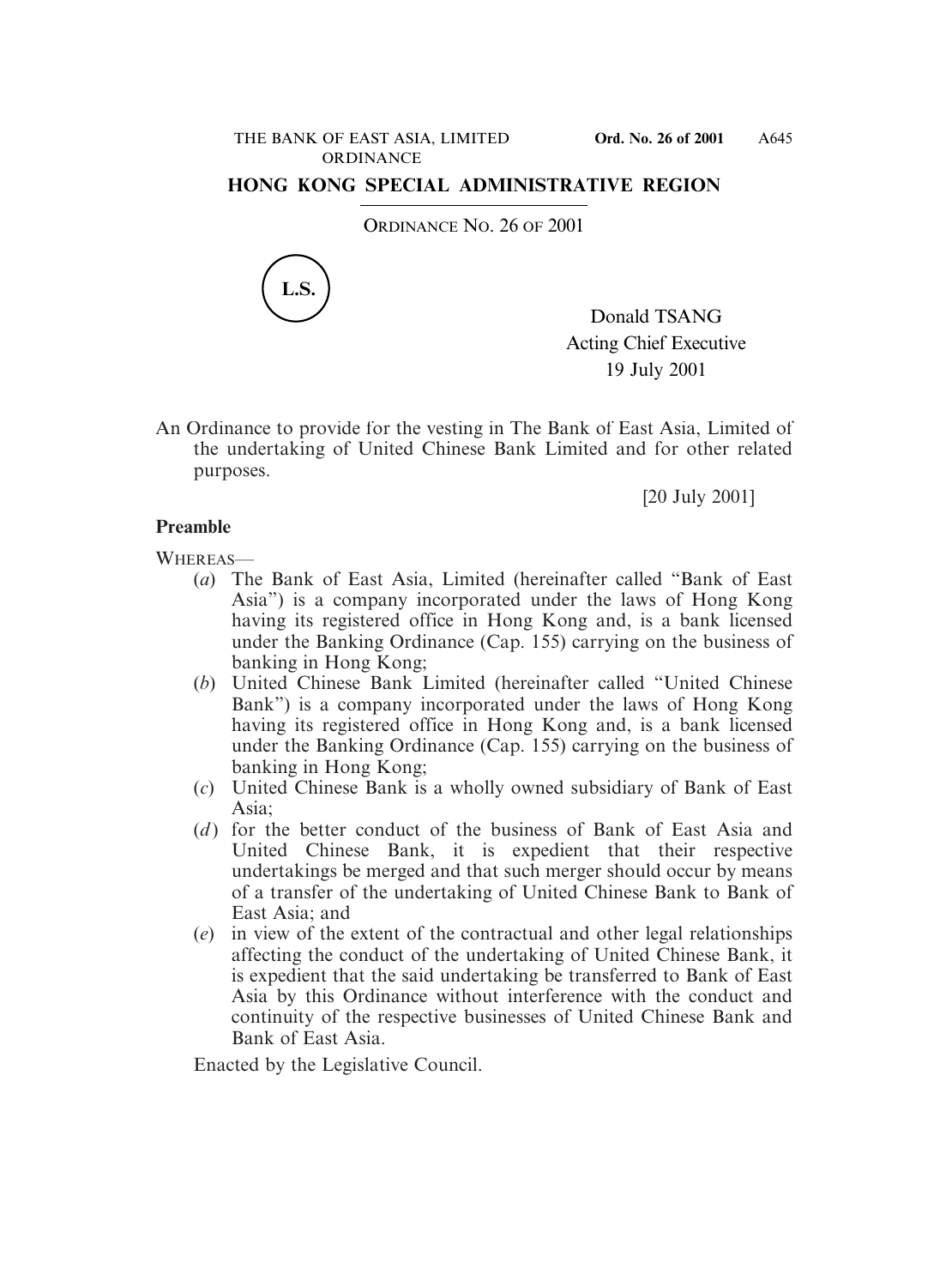# **HONG KONG SPECIAL ADMINISTRATIVE REGION**

ORDINANCE NO. 26 OF 2001



Donald TSANG Acting Chief Executive 19 July 2001

An Ordinance to provide for the vesting in The Bank of East Asia, Limited of the undertaking of United Chinese Bank Limited and for other related purposes.

[20 July 2001]

# **Preamble**

WHEREAS-

- (*a*) The Bank of East Asia, Limited (hereinafter called "Bank of East Asia") is a company incorporated under the laws of Hong Kong having its registered office in Hong Kong and, is a bank licensed under the Banking Ordinance (Cap. 155) carrying on the business of banking in Hong Kong;
- (*b*) United Chinese Bank Limited (hereinafter called "United Chinese Bank") is a company incorporated under the laws of Hong Kong having its registered office in Hong Kong and, is a bank licensed under the Banking Ordinance (Cap. 155) carrying on the business of banking in Hong Kong;
- (*c*) United Chinese Bank is a wholly owned subsidiary of Bank of East Asia<sup>.</sup>
- (*d*) for the better conduct of the business of Bank of East Asia and United Chinese Bank, it is expedient that their respective undertakings be merged and that such merger should occur by means of a transfer of the undertaking of United Chinese Bank to Bank of East Asia; and
- (*e*) in view of the extent of the contractual and other legal relationships affecting the conduct of the undertaking of United Chinese Bank, it is expedient that the said undertaking be transferred to Bank of East Asia by this Ordinance without interference with the conduct and continuity of the respective businesses of United Chinese Bank and Bank of East Asia.

Enacted by the Legislative Council.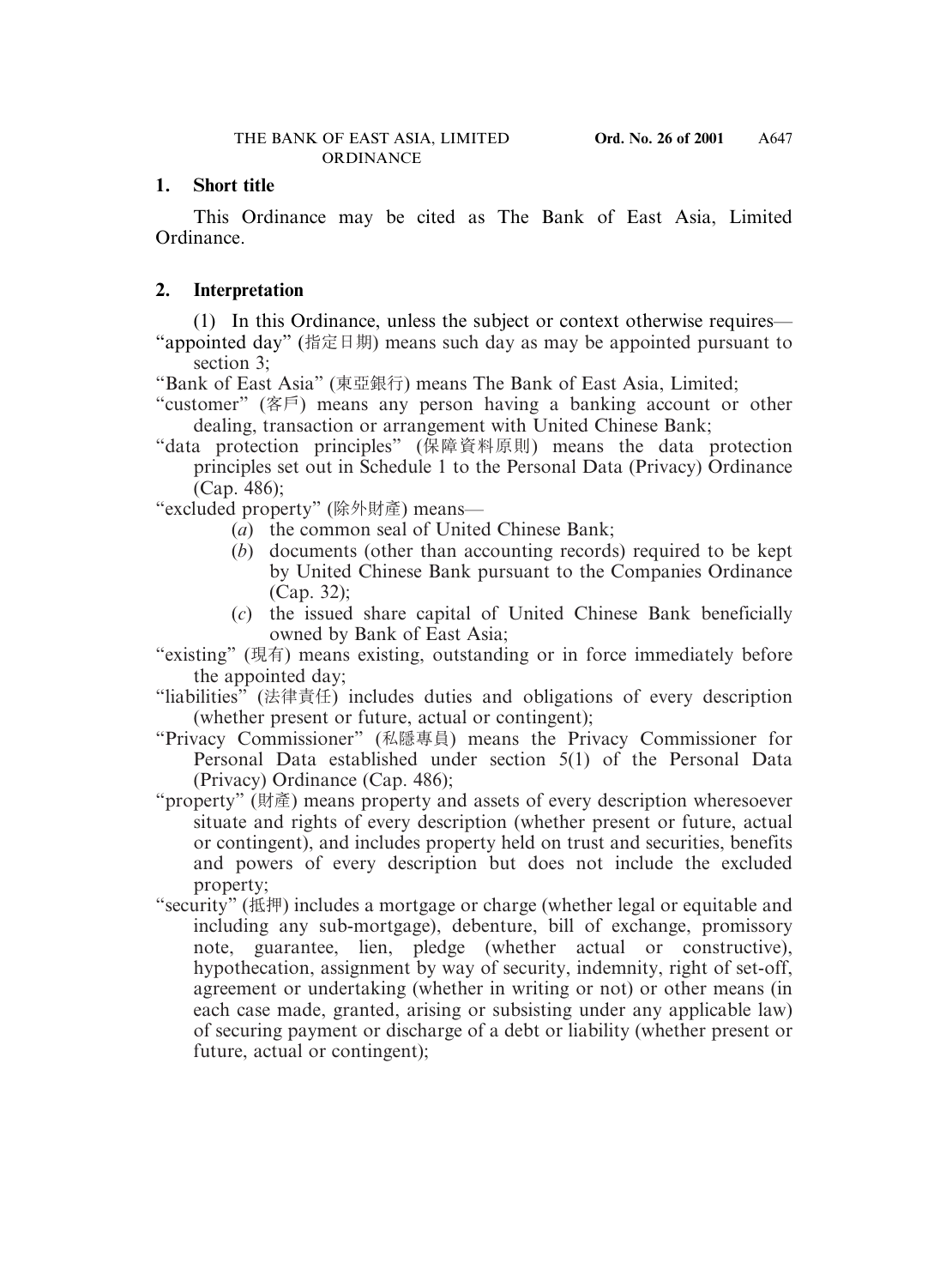# **1. Short title**

This Ordinance may be cited as The Bank of East Asia, Limited Ordinance.

# **2. Interpretation**

(1) In this Ordinance, unless the subject or context otherwise requires— "appointed day" (指定日期) means such day as may be appointed pursuant to section 3;

"Bank of East Asia" (東亞銀行) means The Bank of East Asia, Limited;

- "customer" (客戶) means any person having a banking account or other dealing, transaction or arrangement with United Chinese Bank;
- "data protection principles" (保障資料原則) means the data protection principles set out in Schedule 1 to the Personal Data (Privacy) Ordinance (Cap. 486);

"excluded property" (除外財產) means—

- (*a*) the common seal of United Chinese Bank;
- (*b*) documents (other than accounting records) required to be kept by United Chinese Bank pursuant to the Companies Ordinance (Cap. 32);
- (*c*) the issued share capital of United Chinese Bank beneficially owned by Bank of East Asia;

"existing" (現有) means existing, outstanding or in force immediately before the appointed day;

"liabilities" (法律責任) includes duties and obligations of every description (whether present or future, actual or contingent);

- "Privacy Commissioner" (私隱專員) means the Privacy Commissioner for Personal Data established under section 5(1) of the Personal Data (Privacy) Ordinance (Cap. 486);
- "property" (財產) means property and assets of every description wheresoever situate and rights of every description (whether present or future, actual or contingent), and includes property held on trust and securities, benefits and powers of every description but does not include the excluded property;
- "security" (抵押) includes a mortgage or charge (whether legal or equitable and including any sub-mortgage), debenture, bill of exchange, promissory note, guarantee, lien, pledge (whether actual or constructive), hypothecation, assignment by way of security, indemnity, right of set-off, agreement or undertaking (whether in writing or not) or other means (in each case made, granted, arising or subsisting under any applicable law) of securing payment or discharge of a debt or liability (whether present or future, actual or contingent);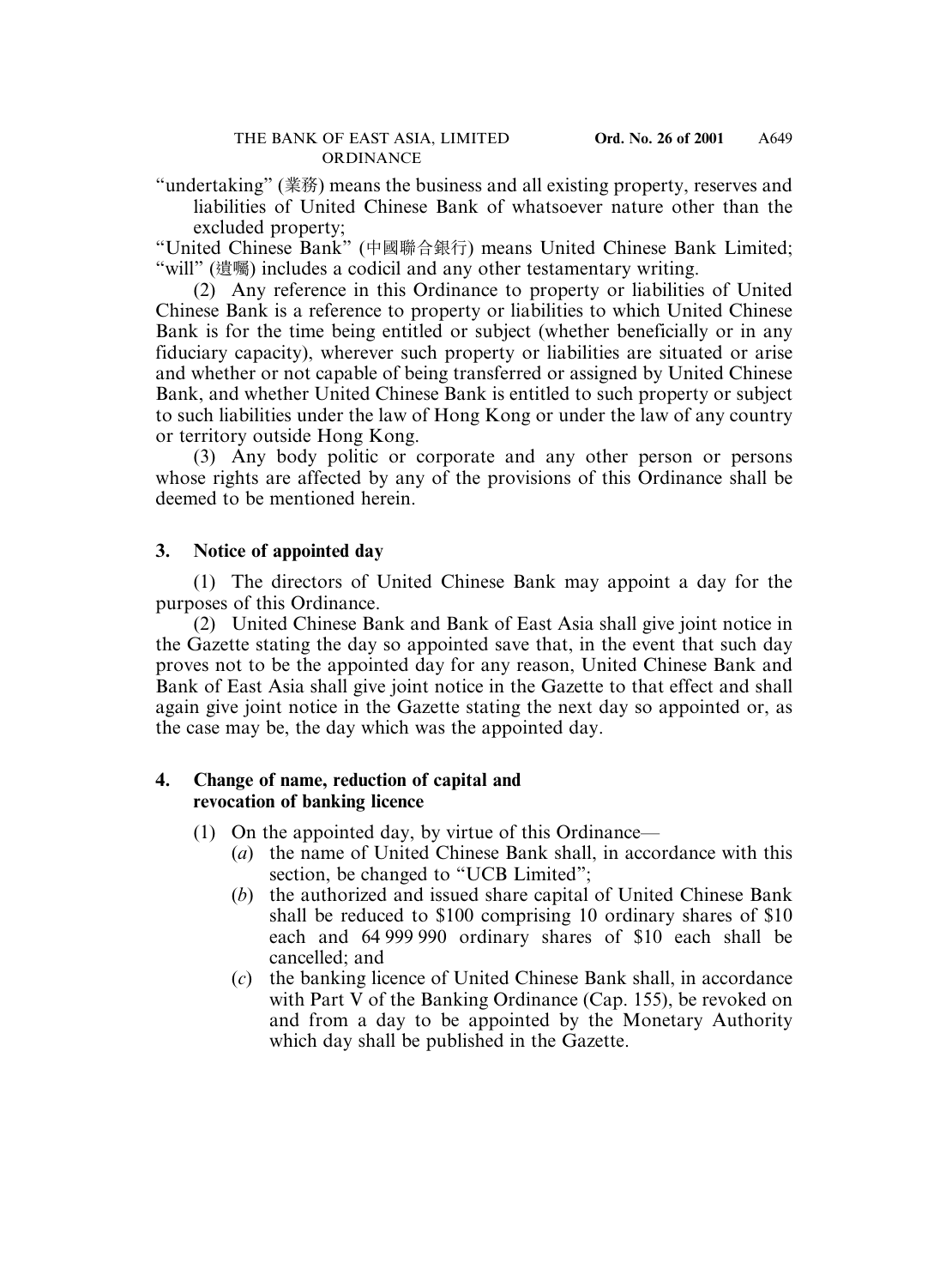"undertaking" (業務) means the business and all existing property, reserves and liabilities of United Chinese Bank of whatsoever nature other than the excluded property;

"United Chinese Bank" (中國聯合銀行) means United Chinese Bank Limited; "will" (遺囑) includes a codicil and any other testamentary writing.

(2) Any reference in this Ordinance to property or liabilities of United Chinese Bank is a reference to property or liabilities to which United Chinese Bank is for the time being entitled or subject (whether beneficially or in any fiduciary capacity), wherever such property or liabilities are situated or arise and whether or not capable of being transferred or assigned by United Chinese Bank, and whether United Chinese Bank is entitled to such property or subject to such liabilities under the law of Hong Kong or under the law of any country or territory outside Hong Kong.

(3) Any body politic or corporate and any other person or persons whose rights are affected by any of the provisions of this Ordinance shall be deemed to be mentioned herein.

# **3. Notice of appointed day**

(1) The directors of United Chinese Bank may appoint a day for the purposes of this Ordinance.

(2) United Chinese Bank and Bank of East Asia shall give joint notice in the Gazette stating the day so appointed save that, in the event that such day proves not to be the appointed day for any reason, United Chinese Bank and Bank of East Asia shall give joint notice in the Gazette to that effect and shall again give joint notice in the Gazette stating the next day so appointed or, as the case may be, the day which was the appointed day.

# **4. Change of name, reduction of capital and revocation of banking licence**

- (1) On the appointed day, by virtue of this Ordinance—
	- (*a*) the name of United Chinese Bank shall, in accordance with this section, be changed to "UCB Limited";
	- (*b*) the authorized and issued share capital of United Chinese Bank shall be reduced to \$100 comprising 10 ordinary shares of \$10 each and 64 999 990 ordinary shares of \$10 each shall be cancelled; and
	- (*c*) the banking licence of United Chinese Bank shall, in accordance with Part V of the Banking Ordinance (Cap. 155), be revoked on and from a day to be appointed by the Monetary Authority which day shall be published in the Gazette.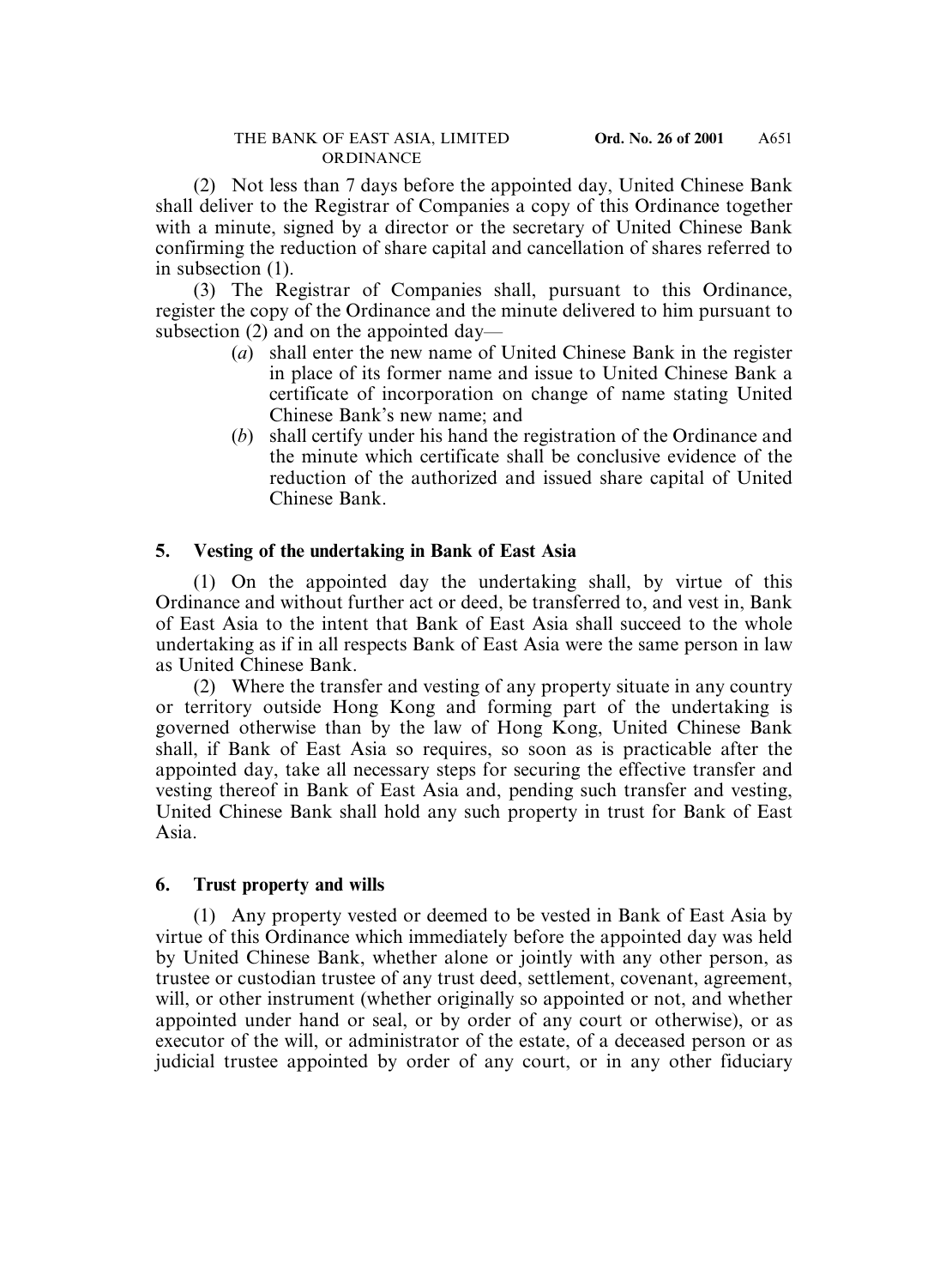(2) Not less than 7 days before the appointed day, United Chinese Bank shall deliver to the Registrar of Companies a copy of this Ordinance together with a minute, signed by a director or the secretary of United Chinese Bank confirming the reduction of share capital and cancellation of shares referred to in subsection (1).

(3) The Registrar of Companies shall, pursuant to this Ordinance, register the copy of the Ordinance and the minute delivered to him pursuant to subsection (2) and on the appointed day—

- (*a*) shall enter the new name of United Chinese Bank in the register in place of its former name and issue to United Chinese Bank a certificate of incorporation on change of name stating United Chinese Bank's new name; and
- (*b*) shall certify under his hand the registration of the Ordinance and the minute which certificate shall be conclusive evidence of the reduction of the authorized and issued share capital of United Chinese Bank.

# **5. Vesting of the undertaking in Bank of East Asia**

(1) On the appointed day the undertaking shall, by virtue of this Ordinance and without further act or deed, be transferred to, and vest in, Bank of East Asia to the intent that Bank of East Asia shall succeed to the whole undertaking as if in all respects Bank of East Asia were the same person in law as United Chinese Bank.

(2) Where the transfer and vesting of any property situate in any country or territory outside Hong Kong and forming part of the undertaking is governed otherwise than by the law of Hong Kong, United Chinese Bank shall, if Bank of East Asia so requires, so soon as is practicable after the appointed day, take all necessary steps for securing the effective transfer and vesting thereof in Bank of East Asia and, pending such transfer and vesting, United Chinese Bank shall hold any such property in trust for Bank of East Asia.

## **6. Trust property and wills**

(1) Any property vested or deemed to be vested in Bank of East Asia by virtue of this Ordinance which immediately before the appointed day was held by United Chinese Bank, whether alone or jointly with any other person, as trustee or custodian trustee of any trust deed, settlement, covenant, agreement, will, or other instrument (whether originally so appointed or not, and whether appointed under hand or seal, or by order of any court or otherwise), or as executor of the will, or administrator of the estate, of a deceased person or as judicial trustee appointed by order of any court, or in any other fiduciary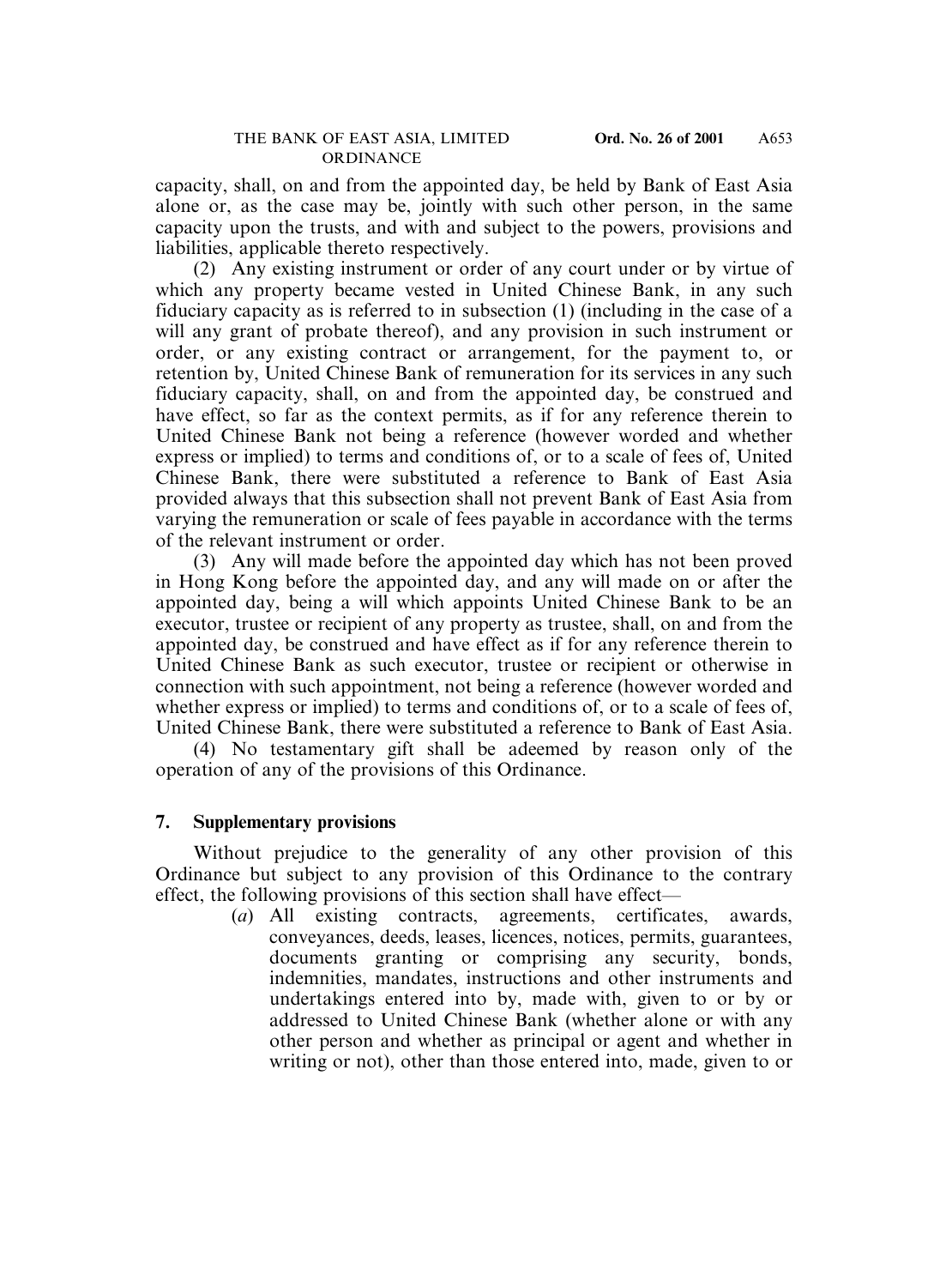capacity, shall, on and from the appointed day, be held by Bank of East Asia alone or, as the case may be, jointly with such other person, in the same capacity upon the trusts, and with and subject to the powers, provisions and liabilities, applicable thereto respectively.

(2) Any existing instrument or order of any court under or by virtue of which any property became vested in United Chinese Bank, in any such fiduciary capacity as is referred to in subsection (1) (including in the case of a will any grant of probate thereof), and any provision in such instrument or order, or any existing contract or arrangement, for the payment to, or retention by, United Chinese Bank of remuneration for its services in any such fiduciary capacity, shall, on and from the appointed day, be construed and have effect, so far as the context permits, as if for any reference therein to United Chinese Bank not being a reference (however worded and whether express or implied) to terms and conditions of, or to a scale of fees of, United Chinese Bank, there were substituted a reference to Bank of East Asia provided always that this subsection shall not prevent Bank of East Asia from varying the remuneration or scale of fees payable in accordance with the terms of the relevant instrument or order.

(3) Any will made before the appointed day which has not been proved in Hong Kong before the appointed day, and any will made on or after the appointed day, being a will which appoints United Chinese Bank to be an executor, trustee or recipient of any property as trustee, shall, on and from the appointed day, be construed and have effect as if for any reference therein to United Chinese Bank as such executor, trustee or recipient or otherwise in connection with such appointment, not being a reference (however worded and whether express or implied) to terms and conditions of, or to a scale of fees of, United Chinese Bank, there were substituted a reference to Bank of East Asia.

(4) No testamentary gift shall be adeemed by reason only of the operation of any of the provisions of this Ordinance.

## **7. Supplementary provisions**

Without prejudice to the generality of any other provision of this Ordinance but subject to any provision of this Ordinance to the contrary effect, the following provisions of this section shall have effect—

(*a*) All existing contracts, agreements, certificates, awards, conveyances, deeds, leases, licences, notices, permits, guarantees, documents granting or comprising any security, bonds, indemnities, mandates, instructions and other instruments and undertakings entered into by, made with, given to or by or addressed to United Chinese Bank (whether alone or with any other person and whether as principal or agent and whether in writing or not), other than those entered into, made, given to or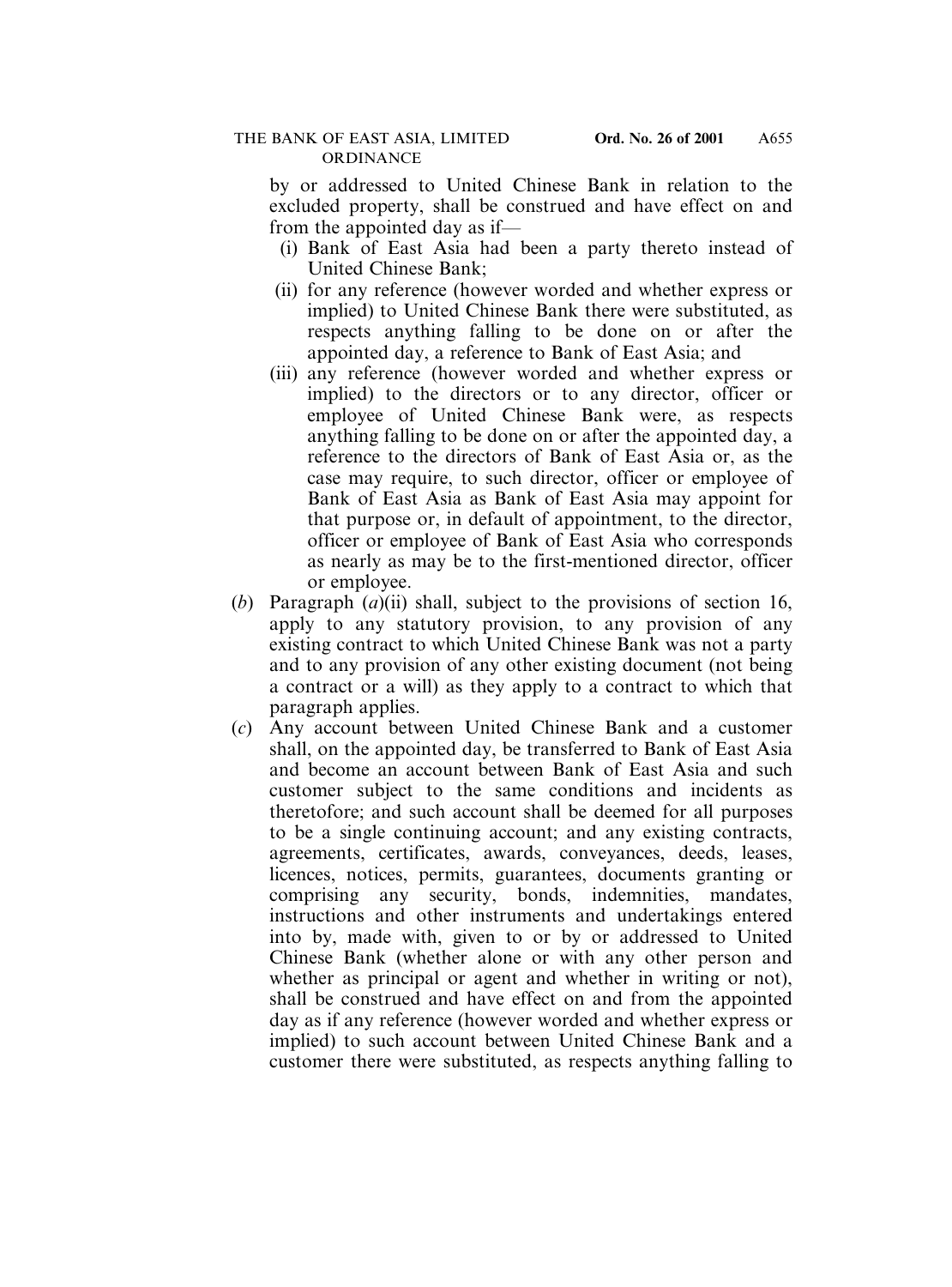by or addressed to United Chinese Bank in relation to the excluded property, shall be construed and have effect on and from the appointed day as if—

- (i) Bank of East Asia had been a party thereto instead of United Chinese Bank;
- (ii) for any reference (however worded and whether express or implied) to United Chinese Bank there were substituted, as respects anything falling to be done on or after the appointed day, a reference to Bank of East Asia; and
- (iii) any reference (however worded and whether express or implied) to the directors or to any director, officer or employee of United Chinese Bank were, as respects anything falling to be done on or after the appointed day, a reference to the directors of Bank of East Asia or, as the case may require, to such director, officer or employee of Bank of East Asia as Bank of East Asia may appoint for that purpose or, in default of appointment, to the director, officer or employee of Bank of East Asia who corresponds as nearly as may be to the first-mentioned director, officer or employee.
- (*b*) Paragraph (*a*)(ii) shall, subject to the provisions of section 16, apply to any statutory provision, to any provision of any existing contract to which United Chinese Bank was not a party and to any provision of any other existing document (not being a contract or a will) as they apply to a contract to which that paragraph applies.
- (*c*) Any account between United Chinese Bank and a customer shall, on the appointed day, be transferred to Bank of East Asia and become an account between Bank of East Asia and such customer subject to the same conditions and incidents as theretofore; and such account shall be deemed for all purposes to be a single continuing account; and any existing contracts, agreements, certificates, awards, conveyances, deeds, leases, licences, notices, permits, guarantees, documents granting or comprising any security, bonds, indemnities, mandates, instructions and other instruments and undertakings entered into by, made with, given to or by or addressed to United Chinese Bank (whether alone or with any other person and whether as principal or agent and whether in writing or not), shall be construed and have effect on and from the appointed day as if any reference (however worded and whether express or implied) to such account between United Chinese Bank and a customer there were substituted, as respects anything falling to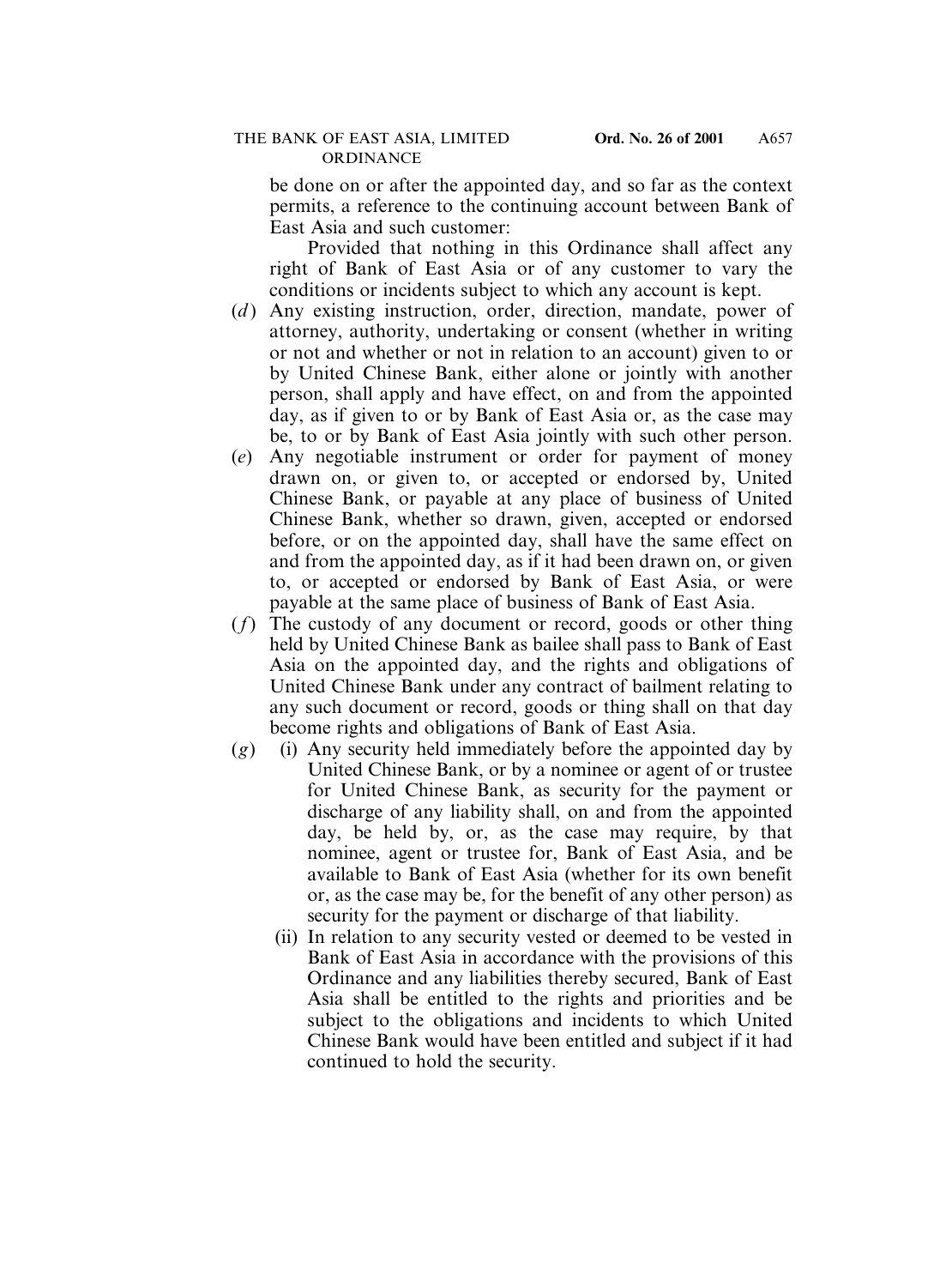be done on or after the appointed day, and so far as the context permits, a reference to the continuing account between Bank of East Asia and such customer:

Provided that nothing in this Ordinance shall affect any right of Bank of East Asia or of any customer to vary the conditions or incidents subject to which any account is kept.

- (*d*) Any existing instruction, order, direction, mandate, power of attorney, authority, undertaking or consent (whether in writing or not and whether or not in relation to an account) given to or by United Chinese Bank, either alone or jointly with another person, shall apply and have effect, on and from the appointed day, as if given to or by Bank of East Asia or, as the case may be, to or by Bank of East Asia jointly with such other person.
- (*e*) Any negotiable instrument or order for payment of money drawn on, or given to, or accepted or endorsed by, United Chinese Bank, or payable at any place of business of United Chinese Bank, whether so drawn, given, accepted or endorsed before, or on the appointed day, shall have the same effect on and from the appointed day, as if it had been drawn on, or given to, or accepted or endorsed by Bank of East Asia, or were payable at the same place of business of Bank of East Asia.
- (*f*) The custody of any document or record, goods or other thing held by United Chinese Bank as bailee shall pass to Bank of East Asia on the appointed day, and the rights and obligations of United Chinese Bank under any contract of bailment relating to any such document or record, goods or thing shall on that day become rights and obligations of Bank of East Asia.
- (*g*) (i) Any security held immediately before the appointed day by United Chinese Bank, or by a nominee or agent of or trustee for United Chinese Bank, as security for the payment or discharge of any liability shall, on and from the appointed day, be held by, or, as the case may require, by that nominee, agent or trustee for, Bank of East Asia, and be available to Bank of East Asia (whether for its own benefit or, as the case may be, for the benefit of any other person) as security for the payment or discharge of that liability.
	- (ii) In relation to any security vested or deemed to be vested in Bank of East Asia in accordance with the provisions of this Ordinance and any liabilities thereby secured, Bank of East Asia shall be entitled to the rights and priorities and be subject to the obligations and incidents to which United Chinese Bank would have been entitled and subject if it had continued to hold the security.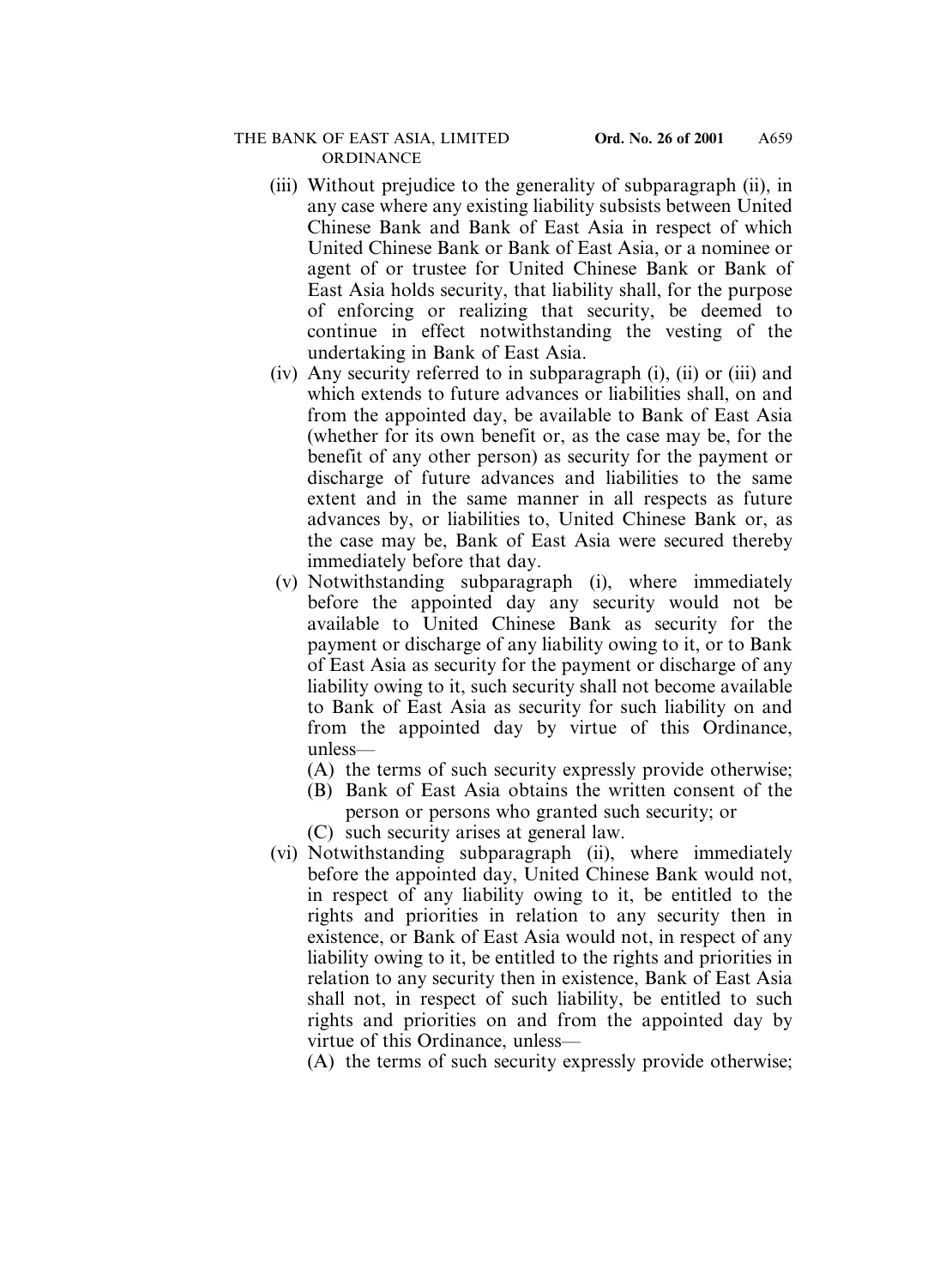- (iii) Without prejudice to the generality of subparagraph (ii), in any case where any existing liability subsists between United Chinese Bank and Bank of East Asia in respect of which United Chinese Bank or Bank of East Asia, or a nominee or agent of or trustee for United Chinese Bank or Bank of East Asia holds security, that liability shall, for the purpose of enforcing or realizing that security, be deemed to continue in effect notwithstanding the vesting of the undertaking in Bank of East Asia.
- (iv) Any security referred to in subparagraph (i), (ii) or (iii) and which extends to future advances or liabilities shall, on and from the appointed day, be available to Bank of East Asia (whether for its own benefit or, as the case may be, for the benefit of any other person) as security for the payment or discharge of future advances and liabilities to the same extent and in the same manner in all respects as future advances by, or liabilities to, United Chinese Bank or, as the case may be, Bank of East Asia were secured thereby immediately before that day.
- (v) Notwithstanding subparagraph (i), where immediately before the appointed day any security would not be available to United Chinese Bank as security for the payment or discharge of any liability owing to it, or to Bank of East Asia as security for the payment or discharge of any liability owing to it, such security shall not become available to Bank of East Asia as security for such liability on and from the appointed day by virtue of this Ordinance, unless—
	- (A) the terms of such security expressly provide otherwise;
	- (B) Bank of East Asia obtains the written consent of the person or persons who granted such security; or
	- (C) such security arises at general law.
- (vi) Notwithstanding subparagraph (ii), where immediately before the appointed day, United Chinese Bank would not, in respect of any liability owing to it, be entitled to the rights and priorities in relation to any security then in existence, or Bank of East Asia would not, in respect of any liability owing to it, be entitled to the rights and priorities in relation to any security then in existence, Bank of East Asia shall not, in respect of such liability, be entitled to such rights and priorities on and from the appointed day by virtue of this Ordinance, unless—
	- (A) the terms of such security expressly provide otherwise;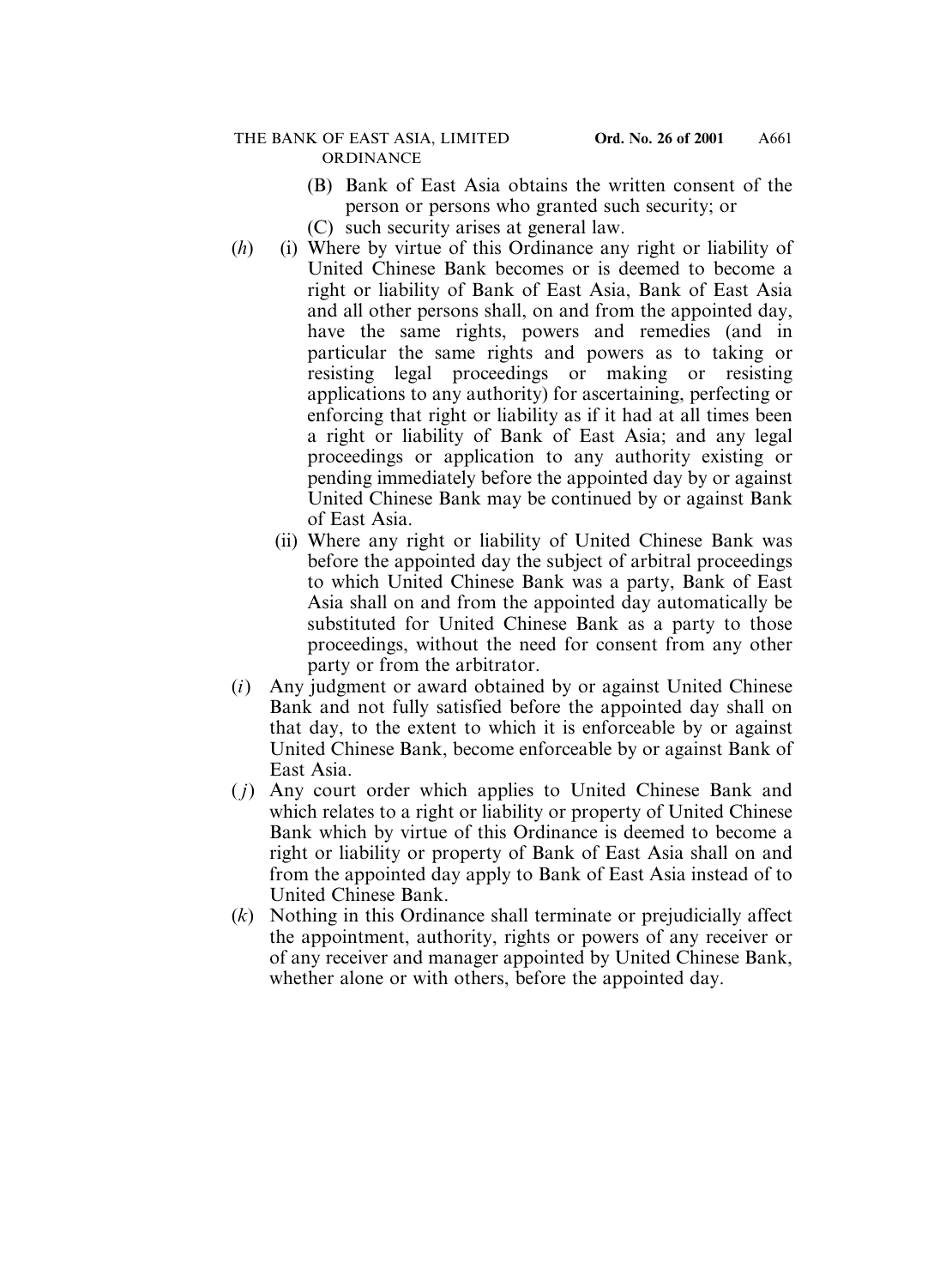- (B) Bank of East Asia obtains the written consent of the person or persons who granted such security; or
- (C) such security arises at general law.
- (*h*) (i) Where by virtue of this Ordinance any right or liability of United Chinese Bank becomes or is deemed to become a right or liability of Bank of East Asia, Bank of East Asia and all other persons shall, on and from the appointed day, have the same rights, powers and remedies (and in particular the same rights and powers as to taking or resisting legal proceedings or making or resisting applications to any authority) for ascertaining, perfecting or enforcing that right or liability as if it had at all times been a right or liability of Bank of East Asia; and any legal proceedings or application to any authority existing or pending immediately before the appointed day by or against United Chinese Bank may be continued by or against Bank of East Asia.
	- (ii) Where any right or liability of United Chinese Bank was before the appointed day the subject of arbitral proceedings to which United Chinese Bank was a party, Bank of East Asia shall on and from the appointed day automatically be substituted for United Chinese Bank as a party to those proceedings, without the need for consent from any other party or from the arbitrator.
- (*i*) Any judgment or award obtained by or against United Chinese Bank and not fully satisfied before the appointed day shall on that day, to the extent to which it is enforceable by or against United Chinese Bank, become enforceable by or against Bank of East Asia.
- ( *j*) Any court order which applies to United Chinese Bank and which relates to a right or liability or property of United Chinese Bank which by virtue of this Ordinance is deemed to become a right or liability or property of Bank of East Asia shall on and from the appointed day apply to Bank of East Asia instead of to United Chinese Bank.
- (*k*) Nothing in this Ordinance shall terminate or prejudicially affect the appointment, authority, rights or powers of any receiver or of any receiver and manager appointed by United Chinese Bank, whether alone or with others, before the appointed day.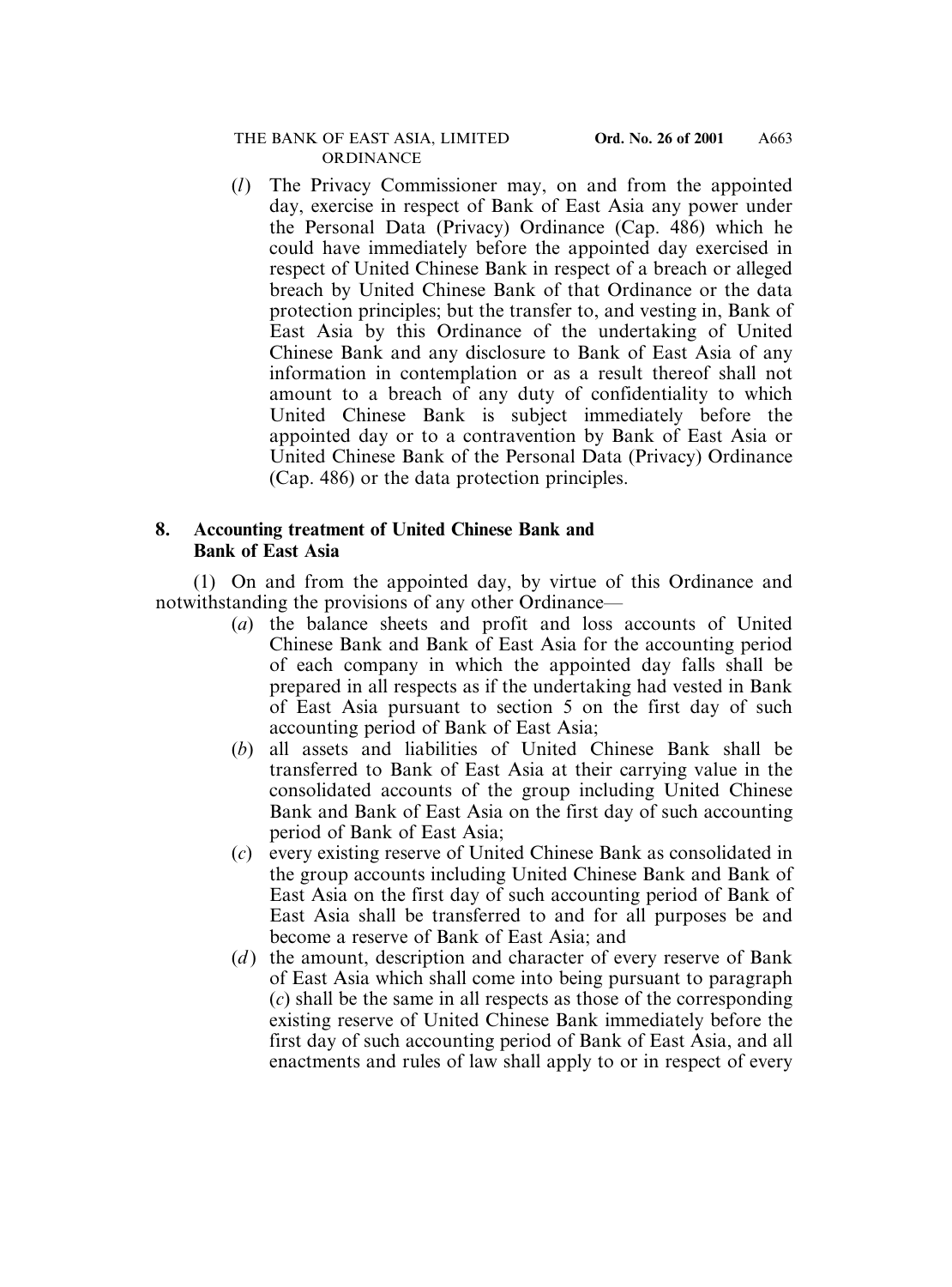(*l*) The Privacy Commissioner may, on and from the appointed day, exercise in respect of Bank of East Asia any power under the Personal Data (Privacy) Ordinance (Cap. 486) which he could have immediately before the appointed day exercised in respect of United Chinese Bank in respect of a breach or alleged breach by United Chinese Bank of that Ordinance or the data protection principles; but the transfer to, and vesting in, Bank of East Asia by this Ordinance of the undertaking of United Chinese Bank and any disclosure to Bank of East Asia of any information in contemplation or as a result thereof shall not amount to a breach of any duty of confidentiality to which United Chinese Bank is subject immediately before the appointed day or to a contravention by Bank of East Asia or United Chinese Bank of the Personal Data (Privacy) Ordinance (Cap. 486) or the data protection principles.

# **8. Accounting treatment of United Chinese Bank and Bank of East Asia**

(1) On and from the appointed day, by virtue of this Ordinance and notwithstanding the provisions of any other Ordinance—

- (*a*) the balance sheets and profit and loss accounts of United Chinese Bank and Bank of East Asia for the accounting period of each company in which the appointed day falls shall be prepared in all respects as if the undertaking had vested in Bank of East Asia pursuant to section 5 on the first day of such accounting period of Bank of East Asia;
- (*b*) all assets and liabilities of United Chinese Bank shall be transferred to Bank of East Asia at their carrying value in the consolidated accounts of the group including United Chinese Bank and Bank of East Asia on the first day of such accounting period of Bank of East Asia;
- (*c*) every existing reserve of United Chinese Bank as consolidated in the group accounts including United Chinese Bank and Bank of East Asia on the first day of such accounting period of Bank of East Asia shall be transferred to and for all purposes be and become a reserve of Bank of East Asia; and
- (*d*) the amount, description and character of every reserve of Bank of East Asia which shall come into being pursuant to paragraph (*c*) shall be the same in all respects as those of the corresponding existing reserve of United Chinese Bank immediately before the first day of such accounting period of Bank of East Asia, and all enactments and rules of law shall apply to or in respect of every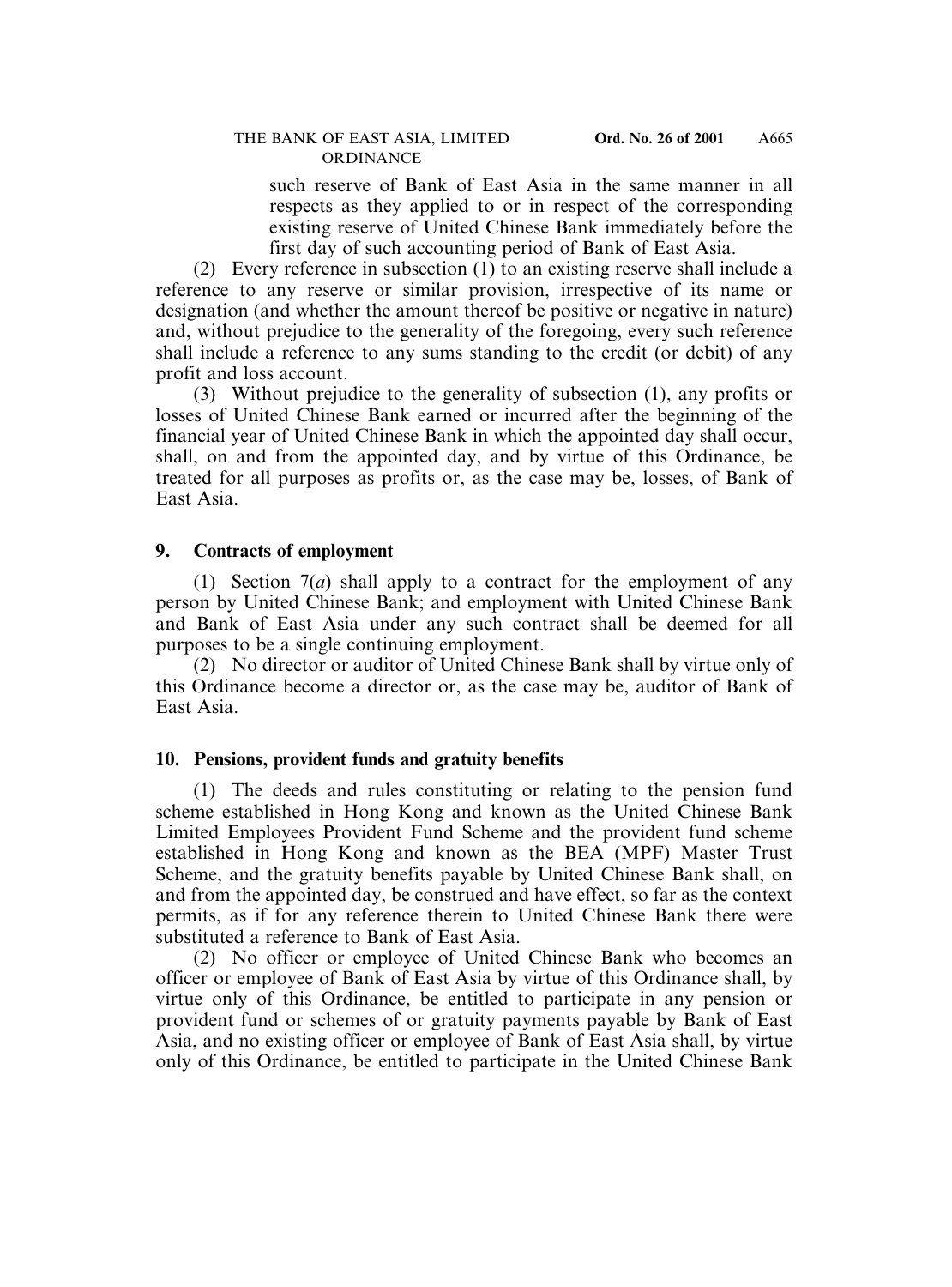such reserve of Bank of East Asia in the same manner in all respects as they applied to or in respect of the corresponding existing reserve of United Chinese Bank immediately before the first day of such accounting period of Bank of East Asia.

(2) Every reference in subsection (1) to an existing reserve shall include a reference to any reserve or similar provision, irrespective of its name or designation (and whether the amount thereof be positive or negative in nature) and, without prejudice to the generality of the foregoing, every such reference shall include a reference to any sums standing to the credit (or debit) of any profit and loss account.

(3) Without prejudice to the generality of subsection (1), any profits or losses of United Chinese Bank earned or incurred after the beginning of the financial year of United Chinese Bank in which the appointed day shall occur, shall, on and from the appointed day, and by virtue of this Ordinance, be treated for all purposes as profits or, as the case may be, losses, of Bank of East Asia.

#### **9. Contracts of employment**

(1) Section 7(*a*) shall apply to a contract for the employment of any person by United Chinese Bank; and employment with United Chinese Bank and Bank of East Asia under any such contract shall be deemed for all purposes to be a single continuing employment.

(2) No director or auditor of United Chinese Bank shall by virtue only of this Ordinance become a director or, as the case may be, auditor of Bank of East Asia.

#### **10. Pensions, provident funds and gratuity benefits**

(1) The deeds and rules constituting or relating to the pension fund scheme established in Hong Kong and known as the United Chinese Bank Limited Employees Provident Fund Scheme and the provident fund scheme established in Hong Kong and known as the BEA (MPF) Master Trust Scheme, and the gratuity benefits payable by United Chinese Bank shall, on and from the appointed day, be construed and have effect, so far as the context permits, as if for any reference therein to United Chinese Bank there were substituted a reference to Bank of East Asia.

(2) No officer or employee of United Chinese Bank who becomes an officer or employee of Bank of East Asia by virtue of this Ordinance shall, by virtue only of this Ordinance, be entitled to participate in any pension or provident fund or schemes of or gratuity payments payable by Bank of East Asia, and no existing officer or employee of Bank of East Asia shall, by virtue only of this Ordinance, be entitled to participate in the United Chinese Bank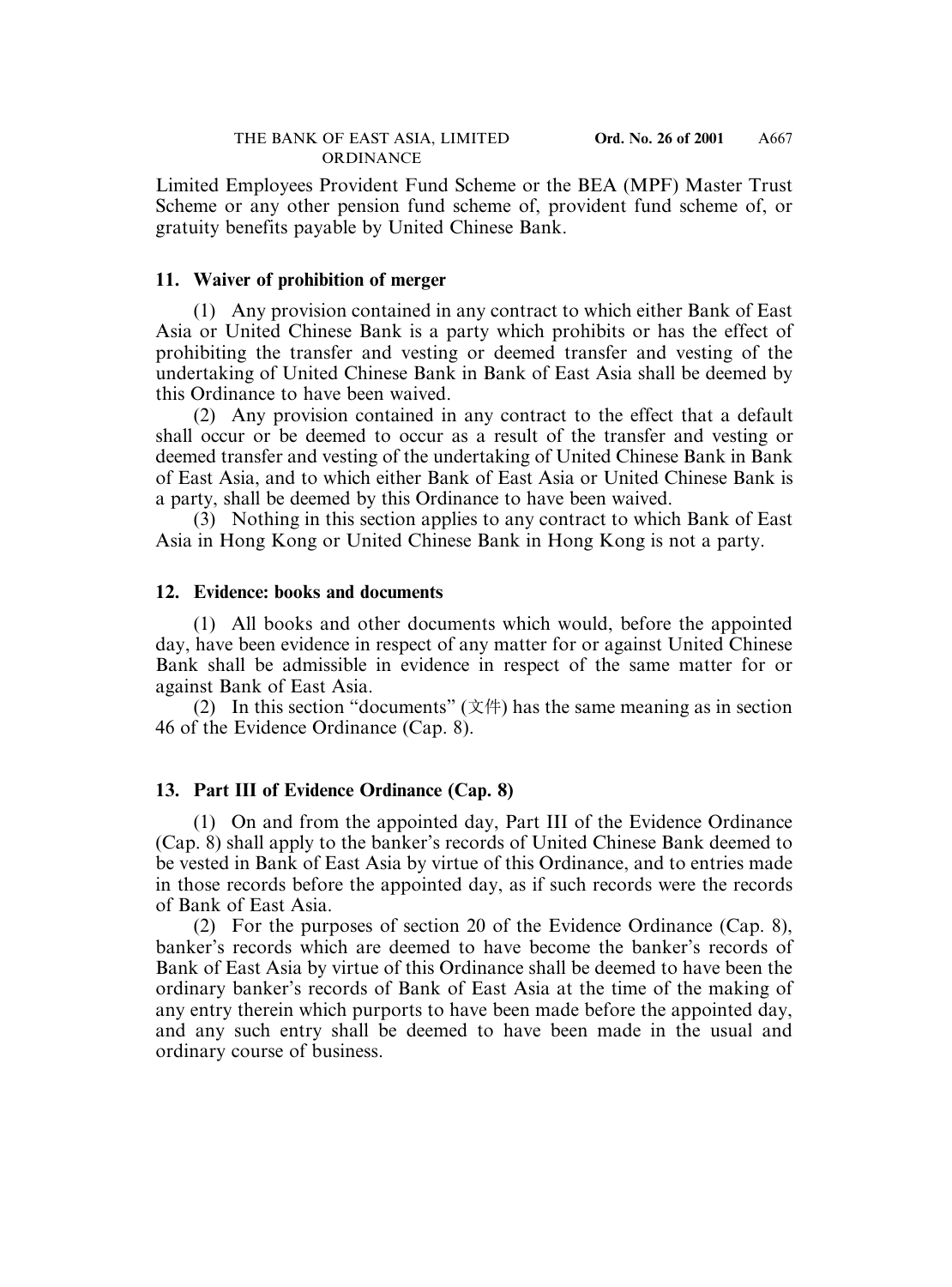Limited Employees Provident Fund Scheme or the BEA (MPF) Master Trust Scheme or any other pension fund scheme of, provident fund scheme of, or gratuity benefits payable by United Chinese Bank.

#### **11. Waiver of prohibition of merger**

(1) Any provision contained in any contract to which either Bank of East Asia or United Chinese Bank is a party which prohibits or has the effect of prohibiting the transfer and vesting or deemed transfer and vesting of the undertaking of United Chinese Bank in Bank of East Asia shall be deemed by this Ordinance to have been waived.

(2) Any provision contained in any contract to the effect that a default shall occur or be deemed to occur as a result of the transfer and vesting or deemed transfer and vesting of the undertaking of United Chinese Bank in Bank of East Asia, and to which either Bank of East Asia or United Chinese Bank is a party, shall be deemed by this Ordinance to have been waived.

(3) Nothing in this section applies to any contract to which Bank of East Asia in Hong Kong or United Chinese Bank in Hong Kong is not a party.

#### **12. Evidence: books and documents**

(1) All books and other documents which would, before the appointed day, have been evidence in respect of any matter for or against United Chinese Bank shall be admissible in evidence in respect of the same matter for or against Bank of East Asia.

(2) In this section "documents"  $(\overrightarrow{\chi}$  ( $\overrightarrow{\chi}$ ) has the same meaning as in section 46 of the Evidence Ordinance (Cap. 8).

#### **13. Part III of Evidence Ordinance (Cap. 8)**

(1) On and from the appointed day, Part III of the Evidence Ordinance (Cap. 8) shall apply to the banker's records of United Chinese Bank deemed to be vested in Bank of East Asia by virtue of this Ordinance, and to entries made in those records before the appointed day, as if such records were the records of Bank of East Asia.

(2) For the purposes of section 20 of the Evidence Ordinance (Cap. 8), banker's records which are deemed to have become the banker's records of Bank of East Asia by virtue of this Ordinance shall be deemed to have been the ordinary banker's records of Bank of East Asia at the time of the making of any entry therein which purports to have been made before the appointed day, and any such entry shall be deemed to have been made in the usual and ordinary course of business.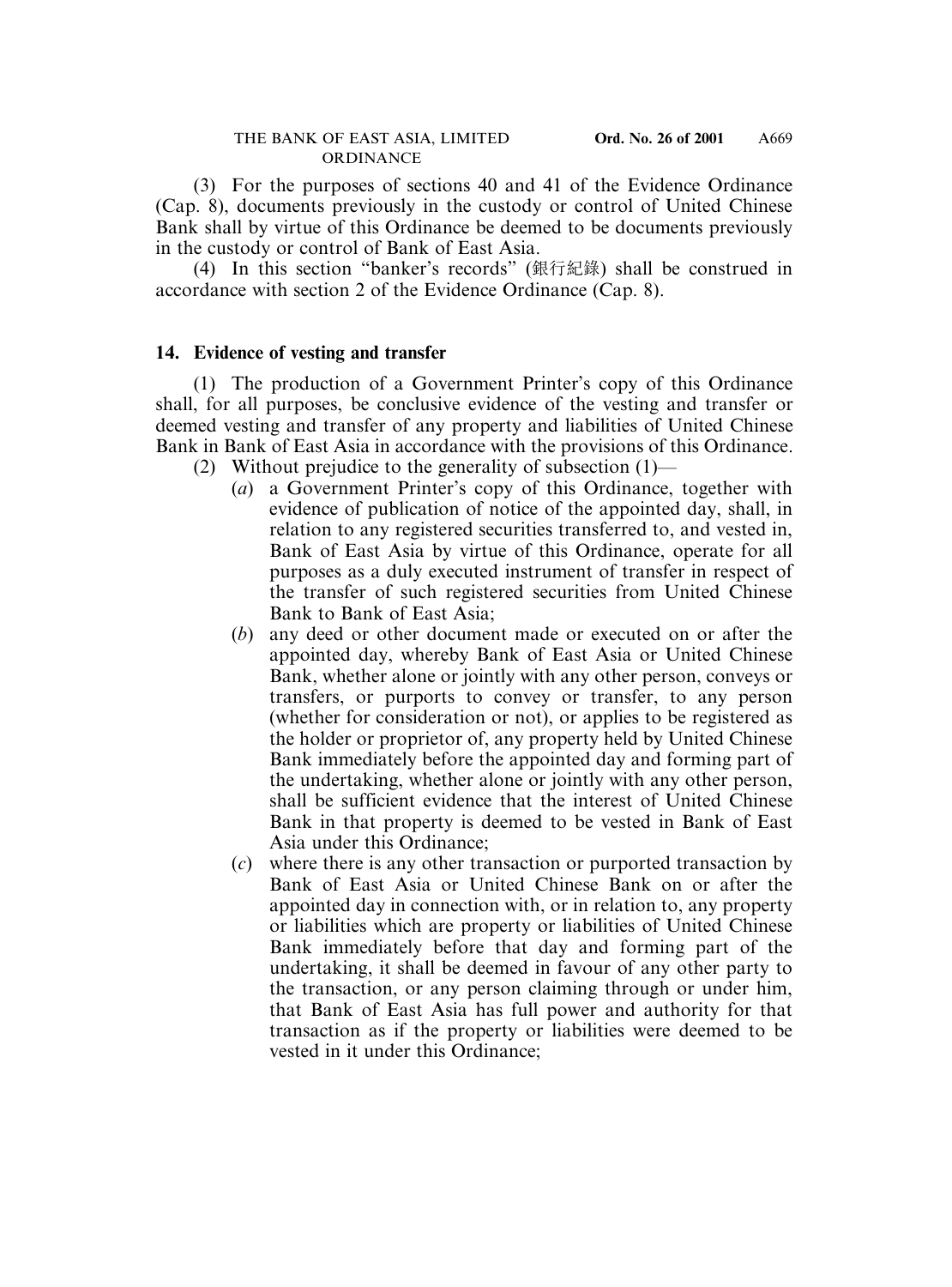(3) For the purposes of sections 40 and 41 of the Evidence Ordinance (Cap. 8), documents previously in the custody or control of United Chinese Bank shall by virtue of this Ordinance be deemed to be documents previously in the custody or control of Bank of East Asia.

(4) In this section "banker's records" (銀行紀錄) shall be construed in accordance with section 2 of the Evidence Ordinance (Cap. 8).

## **14. Evidence of vesting and transfer**

(1) The production of a Government Printer's copy of this Ordinance shall, for all purposes, be conclusive evidence of the vesting and transfer or deemed vesting and transfer of any property and liabilities of United Chinese Bank in Bank of East Asia in accordance with the provisions of this Ordinance.

- (2) Without prejudice to the generality of subsection (1)—
	- (*a*) a Government Printer's copy of this Ordinance, together with evidence of publication of notice of the appointed day, shall, in relation to any registered securities transferred to, and vested in, Bank of East Asia by virtue of this Ordinance, operate for all purposes as a duly executed instrument of transfer in respect of the transfer of such registered securities from United Chinese Bank to Bank of East Asia;
	- (*b*) any deed or other document made or executed on or after the appointed day, whereby Bank of East Asia or United Chinese Bank, whether alone or jointly with any other person, conveys or transfers, or purports to convey or transfer, to any person (whether for consideration or not), or applies to be registered as the holder or proprietor of, any property held by United Chinese Bank immediately before the appointed day and forming part of the undertaking, whether alone or jointly with any other person, shall be sufficient evidence that the interest of United Chinese Bank in that property is deemed to be vested in Bank of East Asia under this Ordinance;
	- (*c*) where there is any other transaction or purported transaction by Bank of East Asia or United Chinese Bank on or after the appointed day in connection with, or in relation to, any property or liabilities which are property or liabilities of United Chinese Bank immediately before that day and forming part of the undertaking, it shall be deemed in favour of any other party to the transaction, or any person claiming through or under him, that Bank of East Asia has full power and authority for that transaction as if the property or liabilities were deemed to be vested in it under this Ordinance;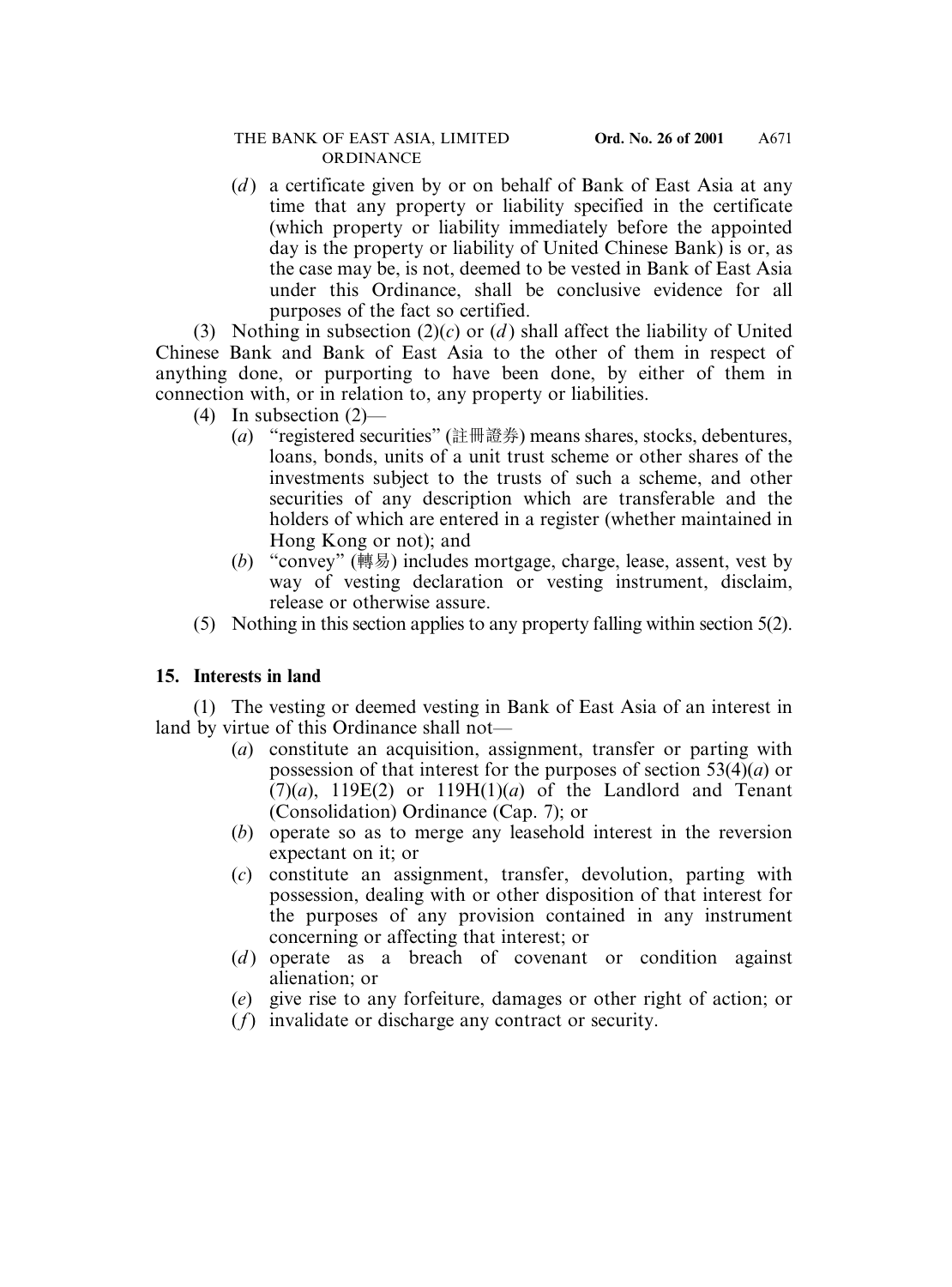(*d* ) a certificate given by or on behalf of Bank of East Asia at any time that any property or liability specified in the certificate (which property or liability immediately before the appointed day is the property or liability of United Chinese Bank) is or, as the case may be, is not, deemed to be vested in Bank of East Asia under this Ordinance, shall be conclusive evidence for all purposes of the fact so certified.

(3) Nothing in subsection  $(2)(c)$  or  $(d)$  shall affect the liability of United Chinese Bank and Bank of East Asia to the other of them in respect of anything done, or purporting to have been done, by either of them in connection with, or in relation to, any property or liabilities.

- (4) In subsection (2)—
	- (*a*) "registered securities" (註冊證券) means shares, stocks, debentures, loans, bonds, units of a unit trust scheme or other shares of the investments subject to the trusts of such a scheme, and other securities of any description which are transferable and the holders of which are entered in a register (whether maintained in Hong Kong or not); and
	- (*b*) "convey" (轉易) includes mortgage, charge, lease, assent, vest by way of vesting declaration or vesting instrument, disclaim, release or otherwise assure.
- (5) Nothing in this section applies to any property falling within section 5(2).

# **15. Interests in land**

(1) The vesting or deemed vesting in Bank of East Asia of an interest in land by virtue of this Ordinance shall not—

- (*a*) constitute an acquisition, assignment, transfer or parting with possession of that interest for the purposes of section 53(4)(*a*) or  $(7)(a)$ , 119E(2) or 119H(1)(*a*) of the Landlord and Tenant (Consolidation) Ordinance (Cap. 7); or
- (*b*) operate so as to merge any leasehold interest in the reversion expectant on it; or
- (*c*) constitute an assignment, transfer, devolution, parting with possession, dealing with or other disposition of that interest for the purposes of any provision contained in any instrument concerning or affecting that interest; or
- (*d* ) operate as a breach of covenant or condition against alienation; or
- (*e*) give rise to any forfeiture, damages or other right of action; or
- (*f*) invalidate or discharge any contract or security.